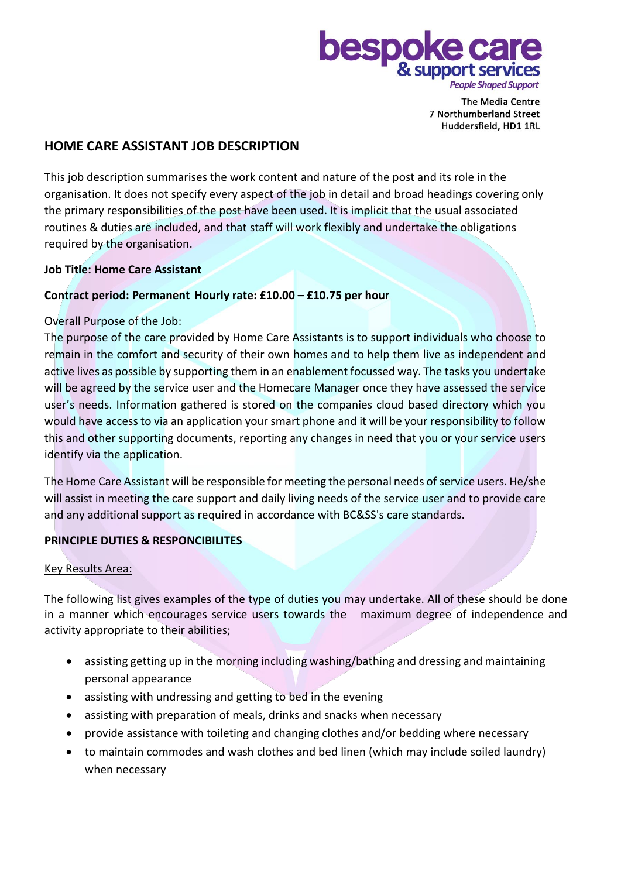

**The Media Centre** 7 Northumberland Street Huddersfield, HD1 1RL

# **HOME CARE ASSISTANT JOB DESCRIPTION**

This job description summarises the work content and nature of the post and its role in the organisation. It does not specify every aspect of the job in detail and broad headings covering only the primary responsibilities of the post have been used. It is implicit that the usual associated routines & duties are included, and that staff will work flexibly and undertake the obligations required by the organisation.

# **Job Title: Home Care Assistant**

# **Contract period: Permanent Hourly rate: £10.00 – £10.75 per hour**

#### Overall Purpose of the Job:

The purpose of the care provided by Home Care Assistants is to support individuals who choose to remain in the comfort and security of their own homes and to help them live as independent and active lives as possible by supporting them in an enablement focussed way. The tasks you undertake will be agreed by the service user and the Homecare Manager once they have assessed the service user's needs. Information gathered is stored on the companies cloud based directory which you would have access to via an application your smart phone and it will be your responsibility to follow this and other supporting documents, reporting any changes in need that you or your service users identify via the application.

The Home Care Assistant will be responsible for meeting the personal needs of service users. He/she will assist in meeting the care support and daily living needs of the service user and to provide care and any additional support as required in accordance with BC&SS's care standards.

# **PRINCIPLE DUTIES & RESPONCIBILITES**

#### Key Results Area:

The following list gives examples of the type of duties you may undertake. All of these should be done in a manner which encourages service users towards the maximum degree of independence and activity appropriate to their abilities;

- assisting getting up in the morning including washing/bathing and dressing and maintaining personal appearance
- assisting with undressing and getting to bed in the evening
- assisting with preparation of meals, drinks and snacks when necessary
- provide assistance with toileting and changing clothes and/or bedding where necessary
- to maintain commodes and wash clothes and bed linen (which may include soiled laundry) when necessary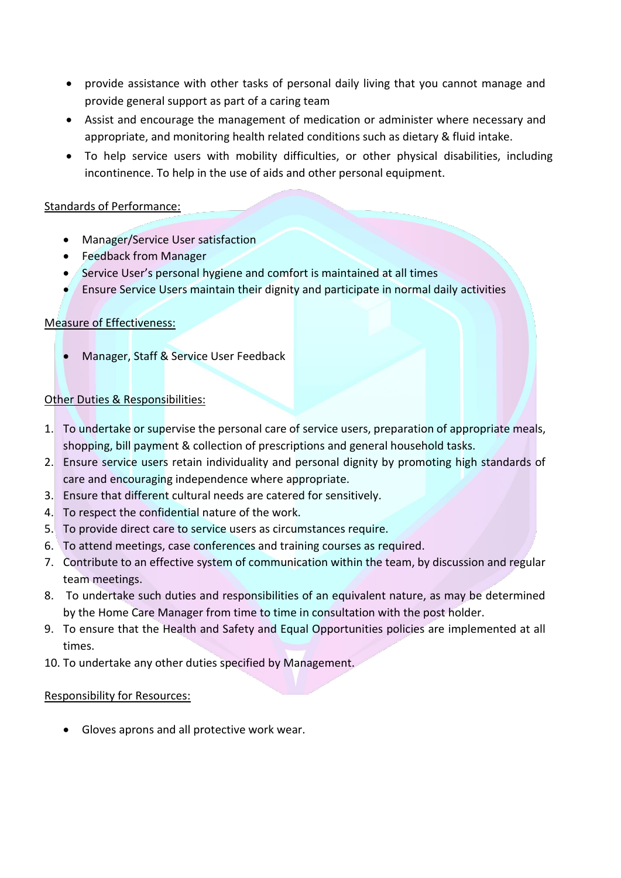- provide assistance with other tasks of personal daily living that you cannot manage and provide general support as part of a caring team
- Assist and encourage the management of medication or administer where necessary and appropriate, and monitoring health related conditions such as dietary & fluid intake.
- To help service users with mobility difficulties, or other physical disabilities, including incontinence. To help in the use of aids and other personal equipment.

# Standards of Performance:

- Manager/Service User satisfaction
- Feedback from Manager
- Service User's personal hygiene and comfort is maintained at all times
- Ensure Service Users maintain their dignity and participate in normal daily activities

# Measure of Effectiveness:

• Manager, Staff & Service User Feedback

# Other Duties & Responsibilities:

- 1. To undertake or supervise the personal care of service users, preparation of appropriate meals, shopping, bill payment & collection of prescriptions and general household tasks.
- 2. Ensure service users retain individuality and personal dignity by promoting high standards of care and encouraging independence where appropriate.
- 3. Ensure that different cultural needs are catered for sensitively.
- 4. To respect the confidential nature of the work.
- 5. To provide direct care to service users as circumstances require.
- 6. To attend meetings, case conferences and training courses as required.
- 7. Contribute to an effective system of communication within the team, by discussion and regular team meetings.
- 8. To undertake such duties and responsibilities of an equivalent nature, as may be determined by the Home Care Manager from time to time in consultation with the post holder.
- 9. To ensure that the Health and Safety and Equal Opportunities policies are implemented at all times.
- 10. To undertake any other duties specified by Management.

#### Responsibility for Resources:

• Gloves aprons and all protective work wear.